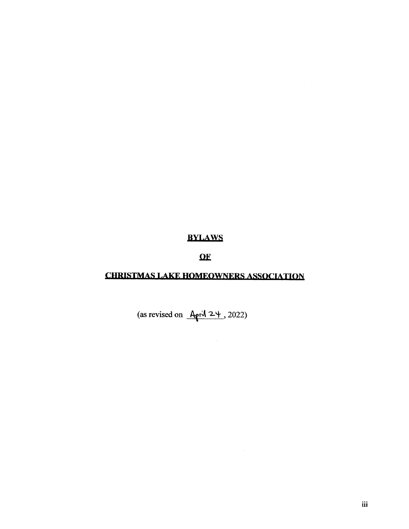# **BYLAWS**

# $\Omega$ <sub>E</sub>

# **CHRISTMAS LAKE HOMEOWNERS ASSOCIATION**

 $\mathcal{L}^{\pm}$ 

(as revised on  $\frac{A}{\rho r} \sqrt{24}$ , 2022)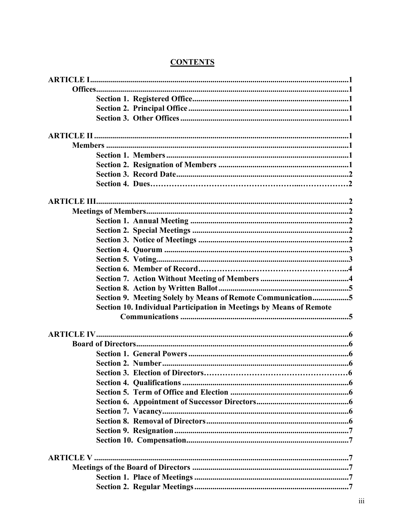| Section 9. Meeting Solely by Means of Remote Communication5         |  |
|---------------------------------------------------------------------|--|
| Section 10. Individual Participation in Meetings by Means of Remote |  |
|                                                                     |  |
|                                                                     |  |
|                                                                     |  |
|                                                                     |  |
|                                                                     |  |
|                                                                     |  |
|                                                                     |  |
|                                                                     |  |
|                                                                     |  |
|                                                                     |  |
|                                                                     |  |
|                                                                     |  |
|                                                                     |  |
|                                                                     |  |
|                                                                     |  |
|                                                                     |  |
|                                                                     |  |

# **CONTENTS**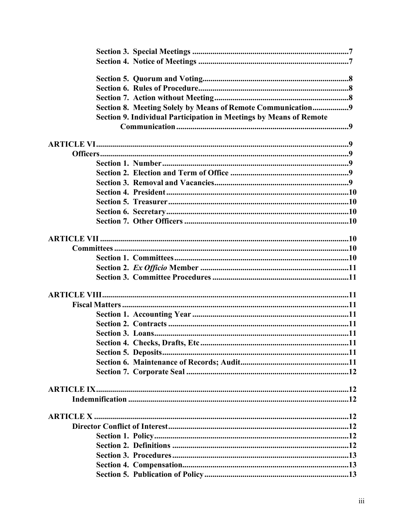| Section 8. Meeting Solely by Means of Remote Communication9<br>Section 9. Individual Participation in Meetings by Means of Remote |  |
|-----------------------------------------------------------------------------------------------------------------------------------|--|
|                                                                                                                                   |  |
|                                                                                                                                   |  |
|                                                                                                                                   |  |
|                                                                                                                                   |  |
|                                                                                                                                   |  |
|                                                                                                                                   |  |
|                                                                                                                                   |  |
|                                                                                                                                   |  |
|                                                                                                                                   |  |
|                                                                                                                                   |  |
|                                                                                                                                   |  |
|                                                                                                                                   |  |
|                                                                                                                                   |  |
|                                                                                                                                   |  |
|                                                                                                                                   |  |
|                                                                                                                                   |  |
|                                                                                                                                   |  |
|                                                                                                                                   |  |
|                                                                                                                                   |  |
|                                                                                                                                   |  |
|                                                                                                                                   |  |
|                                                                                                                                   |  |
|                                                                                                                                   |  |
|                                                                                                                                   |  |
|                                                                                                                                   |  |
|                                                                                                                                   |  |
|                                                                                                                                   |  |
|                                                                                                                                   |  |
|                                                                                                                                   |  |
|                                                                                                                                   |  |
|                                                                                                                                   |  |
|                                                                                                                                   |  |
|                                                                                                                                   |  |
|                                                                                                                                   |  |
|                                                                                                                                   |  |
|                                                                                                                                   |  |
|                                                                                                                                   |  |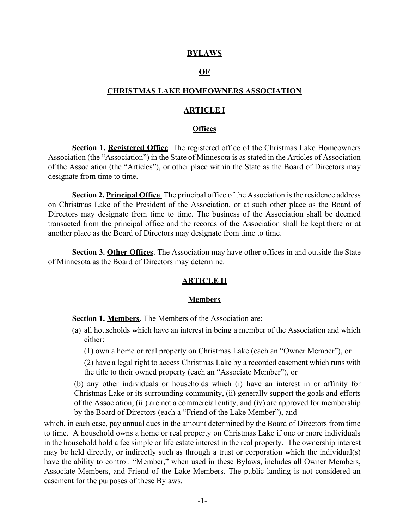#### **BYLAWS**

#### **OF**

### **CHRISTMAS LAKE HOMEOWNERS ASSOCIATION**

#### **ARTICLE I**

#### **Offices**

<span id="page-4-1"></span><span id="page-4-0"></span>**Section 1. Registered Office**. The registered office of the Christmas Lake Homeowners Association (the "Association") in the State of Minnesota is as stated in the Articles of Association of the Association (the "Articles"), or other place within the State as the Board of Directors may designate from time to time.

**Section 2. Principal Office.** The principal office of the Association is the residence address on Christmas Lake of the President of the Association, or at such other place as the Board of Directors may designate from time to time. The business of the Association shall be deemed transacted from the principal office and the records of the Association shall be kept there or at another place as the Board of Directors may designate from time to time.

<span id="page-4-2"></span>**Section 3. Other Offices**. The Association may have other offices in and outside the State of Minnesota as the Board of Directors may determine.

# **ARTICLE II**

#### **Members**

<span id="page-4-3"></span>**Section 1. Members.** The Members of the Association are:

- (a) all households which have an interest in being a member of the Association and which either:
	- (1) own a home or real property on Christmas Lake (each an "Owner Member"), or

(2) have a legal right to access Christmas Lake by a recorded easement which runs with the title to their owned property (each an "Associate Member"), or

(b) any other individuals or households which (i) have an interest in or affinity for Christmas Lake or its surrounding community, (ii) generally support the goals and efforts of the Association, (iii) are not a commercial entity, and (iv) are approved for membership by the Board of Directors (each a "Friend of the Lake Member"), and

which, in each case, pay annual dues in the amount determined by the Board of Directors from time to time. A household owns a home or real property on Christmas Lake if one or more individuals in the household hold a fee simple or life estate interest in the real property. The ownership interest may be held directly, or indirectly such as through a trust or corporation which the individual(s) have the ability to control. "Member," when used in these Bylaws, includes all Owner Members, Associate Members, and Friend of the Lake Members. The public landing is not considered an easement for the purposes of these Bylaws.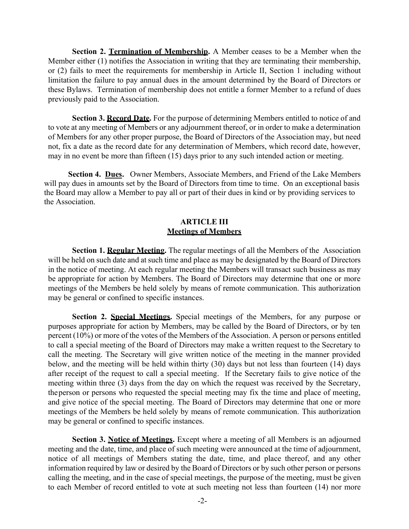**Section 2. Termination of Membership.** A Member ceases to be a Member when the Member either (1) notifies the Association in writing that they are terminating their membership, or (2) fails to meet the requirements for membership in Article II, Section 1 including without limitation the failure to pay annual dues in the amount determined by the Board of Directors or these Bylaws. Termination of membership does not entitle a former Member to a refund of dues previously paid to the Association.

**Section 3. Record Date.** For the purpose of determining Members entitled to notice of and to vote at any meeting of Members or any adjournment thereof, or in order to make a determination of Members for any other proper purpose, the Board of Directors of the Association may, but need not, fix a date as the record date for any determination of Members, which record date, however, may in no event be more than fifteen (15) days prior to any such intended action or meeting.

**Section 4. Dues.** Owner Members, Associate Members, and Friend of the Lake Members will pay dues in amounts set by the Board of Directors from time to time. On an exceptional basis the Board may allow a Member to pay all or part of their dues in kind or by providing services to the Association.

# **ARTICLE III Meetings of Members**

<span id="page-5-1"></span><span id="page-5-0"></span>**Section 1. Regular Meeting.** The regular meetings of all the Members of the Association will be held on such date and at such time and place as may be designated by the Board of Directors in the notice of meeting. At each regular meeting the Members will transact such business as may be appropriate for action by Members. The Board of Directors may determine that one or more meetings of the Members be held solely by means of remote communication. This authorization may be general or confined to specific instances.

**Section 2. Special Meetings.** Special meetings of the Members, for any purpose or purposes appropriate for action by Members, may be called by the Board of Directors, or by ten percent (10%) or more of the votes of the Members of the Association. A person or persons entitled to call a special meeting of the Board of Directors may make a written request to the Secretary to call the meeting. The Secretary will give written notice of the meeting in the manner provided below, and the meeting will be held within thirty (30) days but not less than fourteen (14) days after receipt of the request to call a special meeting. If the Secretary fails to give notice of the meeting within three (3) days from the day on which the request was received by the Secretary, theperson or persons who requested the special meeting may fix the time and place of meeting, and give notice of the special meeting. The Board of Directors may determine that one or more meetings of the Members be held solely by means of remote communication. This authorization may be general or confined to specific instances.

**Section 3. Notice of Meetings.** Except where a meeting of all Members is an adjourned meeting and the date, time, and place of such meeting were announced at the time of adjournment, notice of all meetings of Members stating the date, time, and place thereof, and any other information required by law or desired by the Board of Directors or by such other person or persons calling the meeting, and in the case of special meetings, the purpose of the meeting, must be given to each Member of record entitled to vote at such meeting not less than fourteen (14) nor more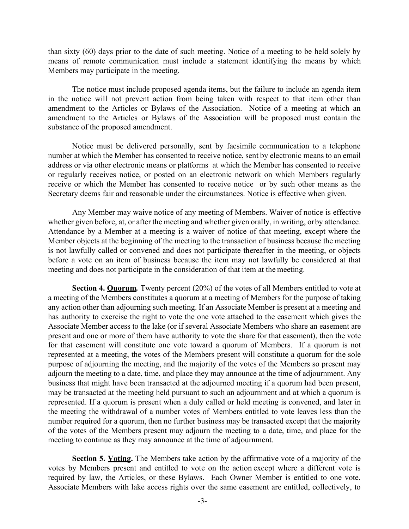than sixty (60) days prior to the date of such meeting. Notice of a meeting to be held solely by means of remote communication must include a statement identifying the means by which Members may participate in the meeting.

The notice must include proposed agenda items, but the failure to include an agenda item in the notice will not prevent action from being taken with respect to that item other than amendment to the Articles or Bylaws of the Association. Notice of a meeting at which an amendment to the Articles or Bylaws of the Association will be proposed must contain the substance of the proposed amendment.

Notice must be delivered personally, sent by facsimile communication to a telephone number at which the Member has consented to receive notice, sent by electronic means to an email address or via other electronic means or platforms at which the Member has consented to receive or regularly receives notice, or posted on an electronic network on which Members regularly receive or which the Member has consented to receive notice or by such other means as the Secretary deems fair and reasonable under the circumstances. Notice is effective when given.

Any Member may waive notice of any meeting of Members. Waiver of notice is effective whether given before, at, or after the meeting and whether given orally, in writing, or by attendance. Attendance by a Member at a meeting is a waiver of notice of that meeting, except where the Member objects at the beginning of the meeting to the transaction of business because the meeting is not lawfully called or convened and does not participate thereafter in the meeting, or objects before a vote on an item of business because the item may not lawfully be considered at that meeting and does not participate in the consideration of that item at the meeting.

**Section 4. Quorum***.* Twenty percent (20%) of the votes of all Members entitled to vote at a meeting of the Members constitutes a quorum at a meeting of Members for the purpose of taking any action other than adjourning such meeting. If an Associate Member is present at a meeting and has authority to exercise the right to vote the one vote attached to the easement which gives the Associate Member access to the lake (or if several Associate Members who share an easement are present and one or more of them have authority to vote the share for that easement), then the vote for that easement will constitute one vote toward a quorum of Members. If a quorum is not represented at a meeting, the votes of the Members present will constitute a quorum for the sole purpose of adjourning the meeting, and the majority of the votes of the Members so present may adjourn the meeting to a date, time, and place they may announce at the time of adjournment. Any business that might have been transacted at the adjourned meeting if a quorum had been present, may be transacted at the meeting held pursuant to such an adjournment and at which a quorum is represented. If a quorum is present when a duly called or held meeting is convened, and later in the meeting the withdrawal of a number votes of Members entitled to vote leaves less than the number required for a quorum, then no further business may be transacted except that the majority of the votes of the Members present may adjourn the meeting to a date, time, and place for the meeting to continue as they may announce at the time of adjournment.

**Section 5. Voting.** The Members take action by the affirmative vote of a majority of the votes by Members present and entitled to vote on the action except where a different vote is required by law, the Articles, or these Bylaws. Each Owner Member is entitled to one vote. Associate Members with lake access rights over the same easement are entitled, collectively, to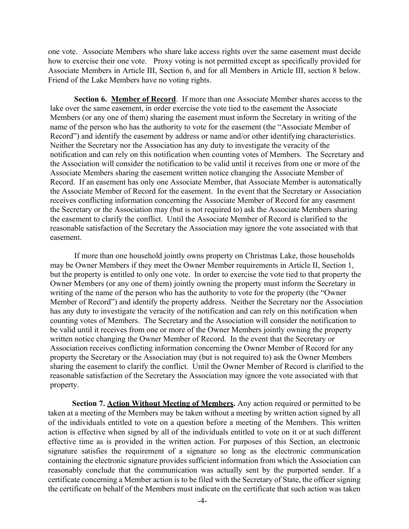one vote. Associate Members who share lake access rights over the same easement must decide how to exercise their one vote. Proxy voting is not permitted except as specifically provided for Associate Members in Article III, Section 6, and for all Members in Article III, section 8 below. Friend of the Lake Members have no voting rights.

**Section 6. Member of Record**. If more than one Associate Member shares access to the lake over the same easement, in order exercise the vote tied to the easement the Associate Members (or any one of them) sharing the easement must inform the Secretary in writing of the name of the person who has the authority to vote for the easement (the "Associate Member of Record") and identify the easement by address or name and/or other identifying characteristics. Neither the Secretary nor the Association has any duty to investigate the veracity of the notification and can rely on this notification when counting votes of Members. The Secretary and the Association will consider the notification to be valid until it receives from one or more of the Associate Members sharing the easement written notice changing the Associate Member of Record. If an easement has only one Associate Member, that Associate Member is automatically the Associate Member of Record for the easement. In the event that the Secretary or Association receives conflicting information concerning the Associate Member of Record for any easement the Secretary or the Association may (but is not required to) ask the Associate Members sharing the easement to clarify the conflict. Until the Associate Member of Record is clarified to the reasonable satisfaction of the Secretary the Association may ignore the vote associated with that easement.

If more than one household jointly owns property on Christmas Lake, those households may be Owner Members if they meet the Owner Member requirements in Article II, Section 1, but the property is entitled to only one vote. In order to exercise the vote tied to that property the Owner Members (or any one of them) jointly owning the property must inform the Secretary in writing of the name of the person who has the authority to vote for the property (the "Owner Member of Record") and identify the property address. Neither the Secretary nor the Association has any duty to investigate the veracity of the notification and can rely on this notification when counting votes of Members. The Secretary and the Association will consider the notification to be valid until it receives from one or more of the Owner Members jointly owning the property written notice changing the Owner Member of Record. In the event that the Secretary or Association receives conflicting information concerning the Owner Member of Record for any property the Secretary or the Association may (but is not required to) ask the Owner Members sharing the easement to clarify the conflict. Until the Owner Member of Record is clarified to the reasonable satisfaction of the Secretary the Association may ignore the vote associated with that property.

**Section 7. Action Without Meeting of Members.** Any action required or permitted to be taken at a meeting of the Members may be taken without a meeting by written action signed by all of the individuals entitled to vote on a question before a meeting of the Members. This written action is effective when signed by all of the individuals entitled to vote on it or at such different effective time as is provided in the written action. For purposes of this Section, an electronic signature satisfies the requirement of a signature so long as the electronic communication containing the electronic signature provides sufficient information from which the Association can reasonably conclude that the communication was actually sent by the purported sender. If a certificate concerning a Member action is to be filed with the Secretary of State, the officer signing the certificate on behalf of the Members must indicate on the certificate that such action was taken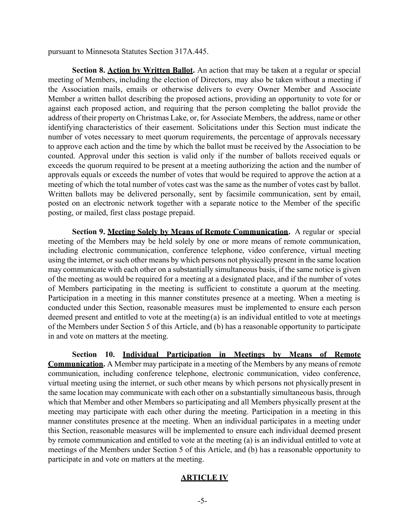pursuant to Minnesota Statutes Section 317A.445.

**Section 8. Action by Written Ballot.** An action that may be taken at a regular or special meeting of Members, including the election of Directors, may also be taken without a meeting if the Association mails, emails or otherwise delivers to every Owner Member and Associate Member a written ballot describing the proposed actions, providing an opportunity to vote for or against each proposed action, and requiring that the person completing the ballot provide the address of their property on Christmas Lake, or, for Associate Members, the address, name or other identifying characteristics of their easement. Solicitations under this Section must indicate the number of votes necessary to meet quorum requirements, the percentage of approvals necessary to approve each action and the time by which the ballot must be received by the Association to be counted. Approval under this section is valid only if the number of ballots received equals or exceeds the quorum required to be present at a meeting authorizing the action and the number of approvals equals or exceeds the number of votes that would be required to approve the action at a meeting of which the total number of votes cast was the same as the number of votes cast by ballot. Written ballots may be delivered personally, sent by facsimile communication, sent by email, posted on an electronic network together with a separate notice to the Member of the specific posting, or mailed, first class postage prepaid.

**Section 9. Meeting Solely by Means of Remote Communication.** A regular or special meeting of the Members may be held solely by one or more means of remote communication, including electronic communication, conference telephone, video conference, virtual meeting using the internet, or such other means by which persons not physically present in the same location may communicate with each other on a substantially simultaneous basis, if the same notice is given of the meeting as would be required for a meeting at a designated place, and if the number of votes of Members participating in the meeting is sufficient to constitute a quorum at the meeting. Participation in a meeting in this manner constitutes presence at a meeting. When a meeting is conducted under this Section, reasonable measures must be implemented to ensure each person deemed present and entitled to vote at the meeting(a) is an individual entitled to vote at meetings of the Members under Section 5 of this Article, and (b) has a reasonable opportunity to participate in and vote on matters at the meeting.

<span id="page-8-0"></span>**Section 10. Individual Participation in Meetings by Means of Remote Communication.** A Member may participate in a meeting of the Members by any means of remote communication, including conference telephone, electronic communication, video conference, virtual meeting using the internet, or such other means by which persons not physicallypresent in the same location may communicate with each other on a substantially simultaneous basis, through which that Member and other Members so participating and all Members physically present at the meeting may participate with each other during the meeting. Participation in a meeting in this manner constitutes presence at the meeting. When an individual participates in a meeting under this Section, reasonable measures will be implemented to ensure each individual deemed present by remote communication and entitled to vote at the meeting (a) is an individual entitled to vote at meetings of the Members under Section 5 of this Article, and (b) has a reasonable opportunity to participate in and vote on matters at the meeting.

# **ARTICLE IV**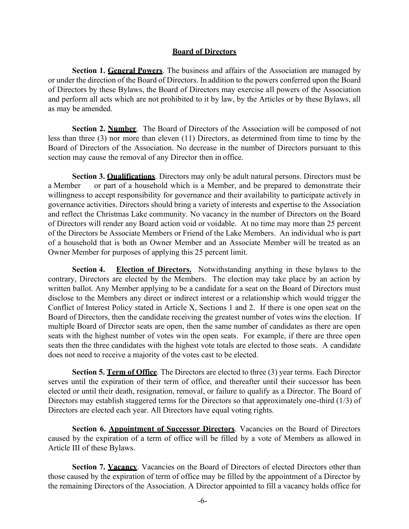# **Board of Directors**

<span id="page-9-0"></span>**Section 1. General Powers**. The business and affairs of the Association are managed by or under the direction of the Board of Directors. In addition to the powers conferred upon the Board of Directors by these Bylaws, the Board of Directors may exercise all powers of the Association and perform all acts which are not prohibited to it by law, by the Articles or by these Bylaws, all as may be amended.

**Section 2. Number.** The Board of Directors of the Association will be composed of not less than three (3) nor more than eleven (11) Directors, as determined from time to time by the Board of Directors of the Association. No decrease in the number of Directors pursuant to this section may cause the removal of any Director then in office.

**Section 3. Qualifications**. Directors may only be adult natural persons. Directors must be a Member or part of a household which is a Member, and be prepared to demonstrate their willingness to accept responsibility for governance and their availability to participate actively in governance activities. Directors should bring a variety of interests and expertise to the Association and reflect the Christmas Lake community. No vacancy in the number of Directors on the Board of Directors will render any Board action void or voidable. At no time may more than 25 percent of the Directors be Associate Members or Friend of the Lake Members. An individual who is part of a household that is both an Owner Member and an Associate Member will be treated as an Owner Member for purposes of applying this 25 percent limit.

**Section 4. Election of Directors.** Notwithstanding anything in these bylaws to the contrary, Directors are elected by the Members. The election may take place by an action by written ballot. Any Member applying to be a candidate for a seat on the Board of Directors must disclose to the Members any direct or indirect interest or a relationship which would trigger the Conflict of Interest Policy stated in Article X, Sections 1 and 2. If there is one open seat on the Board of Directors, then the candidate receiving the greatest number of votes wins the election. If multiple Board of Director seats are open, then the same number of candidates as there are open seats with the highest number of votes win the open seats. For example, if there are three open seats then the three candidates with the highest vote totals are elected to those seats. A candidate does not need to receive a majority of the votes cast to be elected.

**Section 5. Term of Office**. The Directors are elected to three (3) year terms. Each Director serves until the expiration of their term of office, and thereafter until their successor has been elected or until their death, resignation, removal, or failure to qualify as a Director. The Board of Directors may establish staggered terms for the Directors so that approximately one-third (1/3) of Directors are elected each year. All Directors have equal voting rights.

**Section 6. Appointment of Successor Directors**. Vacancies on the Board of Directors caused by the expiration of a term of office will be filled by a vote of Members as allowed in Article III of these Bylaws.

**Section 7. Vacancy**. Vacancies on the Board of Directors of elected Directors other than those caused by the expiration of term of office may be filled by the appointment of a Director by the remaining Directors of the Association. A Director appointed to fill a vacancy holds office for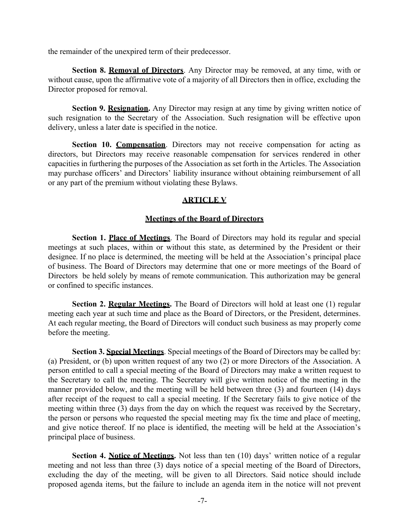the remainder of the unexpired term of their predecessor.

**Section 8. Removal of Directors**. Any Director may be removed, at any time, with or without cause, upon the affirmative vote of a majority of all Directors then in office, excluding the Director proposed for removal.

**Section 9. Resignation.** Any Director may resign at any time by giving written notice of such resignation to the Secretary of the Association. Such resignation will be effective upon delivery, unless a later date is specified in the notice.

**Section 10. Compensation**. Directors may not receive compensation for acting as directors, but Directors may receive reasonable compensation for services rendered in other capacities in furthering the purposes of the Association as set forth in the Articles. The Association may purchase officers' and Directors' liability insurance without obtaining reimbursement of all or any part of the premium without violating these Bylaws.

# **ARTICLE V**

# **Meetings of the Board of Directors**

<span id="page-10-1"></span><span id="page-10-0"></span>**Section 1. Place of Meetings**. The Board of Directors may hold its regular and special meetings at such places, within or without this state, as determined by the President or their designee. If no place is determined, the meeting will be held at the Association's principal place of business. The Board of Directors may determine that one or more meetings of the Board of Directors be held solely by means of remote communication. This authorization may be general or confined to specific instances.

**Section 2. Regular Meetings.** The Board of Directors will hold at least one (1) regular meeting each year at such time and place as the Board of Directors, or the President, determines. At each regular meeting, the Board of Directors will conduct such business as may properly come before the meeting.

**Section 3. Special Meetings**. Special meetings of the Board of Directors may be called by: (a) President, or (b) upon written request of any two (2) or more Directors of the Association. A person entitled to call a special meeting of the Board of Directors may make a written request to the Secretary to call the meeting. The Secretary will give written notice of the meeting in the manner provided below, and the meeting will be held between three (3) and fourteen (14) days after receipt of the request to call a special meeting. If the Secretary fails to give notice of the meeting within three (3) days from the day on which the request was received by the Secretary, the person or persons who requested the special meeting may fix the time and place of meeting, and give notice thereof. If no place is identified, the meeting will be held at the Association's principal place of business.

**Section 4. Notice of Meetings.** Not less than ten (10) days' written notice of a regular meeting and not less than three (3) days notice of a special meeting of the Board of Directors, excluding the day of the meeting, will be given to all Directors. Said notice should include proposed agenda items, but the failure to include an agenda item in the notice will not prevent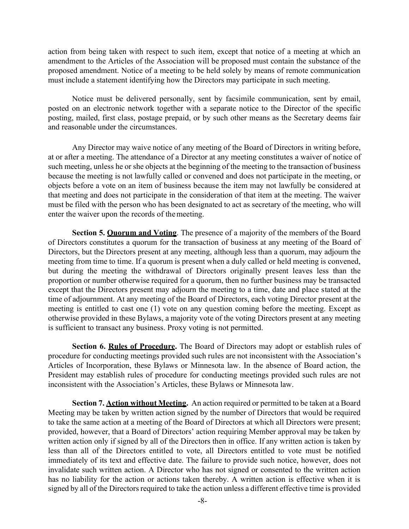action from being taken with respect to such item, except that notice of a meeting at which an amendment to the Articles of the Association will be proposed must contain the substance of the proposed amendment. Notice of a meeting to be held solely by means of remote communication must include a statement identifying how the Directors may participate in such meeting.

Notice must be delivered personally, sent by facsimile communication, sent by email, posted on an electronic network together with a separate notice to the Director of the specific posting, mailed, first class, postage prepaid, or by such other means as the Secretary deems fair and reasonable under the circumstances.

Any Director may waive notice of any meeting of the Board of Directors in writing before, at or after a meeting. The attendance of a Director at any meeting constitutes a waiver of notice of such meeting, unless he or she objects at the beginning of the meeting to the transaction of business because the meeting is not lawfully called or convened and does not participate in the meeting, or objects before a vote on an item of business because the item may not lawfully be considered at that meeting and does not participate in the consideration of that item at the meeting. The waiver must be filed with the person who has been designated to act as secretary of the meeting, who will enter the waiver upon the records of themeeting.

**Section 5. Quorum and Voting**. The presence of a majority of the members of the Board of Directors constitutes a quorum for the transaction of business at any meeting of the Board of Directors, but the Directors present at any meeting, although less than a quorum, may adjourn the meeting from time to time. If a quorum is present when a duly called or held meeting is convened, but during the meeting the withdrawal of Directors originally present leaves less than the proportion or number otherwise required for a quorum, then no further business may be transacted except that the Directors present may adjourn the meeting to a time, date and place stated at the time of adjournment. At any meeting of the Board of Directors, each voting Director present at the meeting is entitled to cast one (1) vote on any question coming before the meeting. Except as otherwise provided in these Bylaws, a majority vote of the voting Directors present at any meeting is sufficient to transact any business. Proxy voting is not permitted.

**Section 6. Rules of Procedure.** The Board of Directors may adopt or establish rules of procedure for conducting meetings provided such rules are not inconsistent with the Association's Articles of Incorporation, these Bylaws or Minnesota law. In the absence of Board action, the President may establish rules of procedure for conducting meetings provided such rules are not inconsistent with the Association's Articles, these Bylaws or Minnesota law.

**Section 7. Action without Meeting.** An action required or permitted to be taken at a Board Meeting may be taken by written action signed by the number of Directors that would be required to take the same action at a meeting of the Board of Directors at which all Directors were present; provided, however, that a Board of Directors' action requiring Member approval may be taken by written action only if signed by all of the Directors then in office. If any written action is taken by less than all of the Directors entitled to vote, all Directors entitled to vote must be notified immediately of its text and effective date. The failure to provide such notice, however, does not invalidate such written action. A Director who has not signed or consented to the written action has no liability for the action or actions taken thereby. A written action is effective when it is signed by all of the Directors required to take the action unless a different effective time is provided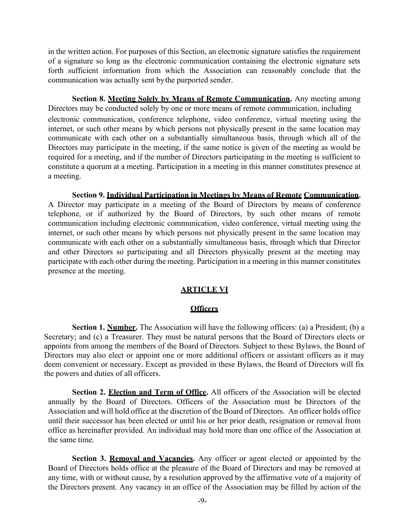in the written action. For purposes of this Section, an electronic signature satisfies the requirement of a signature so long as the electronic communication containing the electronic signature sets forth sufficient information from which the Association can reasonably conclude that the communication was actually sent bythe purported sender.

**Section 8. Meeting Solely by Means of Remote Communication.** Any meeting among Directors may be conducted solely by one or more means of remote communication, including electronic communication, conference telephone, video conference, virtual meeting using the internet, or such other means by which persons not physically present in the same location may communicate with each other on a substantially simultaneous basis, through which all of the Directors may participate in the meeting, if the same notice is given of the meeting as would be required for a meeting, and if the number of Directors participating in the meeting is sufficient to constitute a quorum at a meeting. Participation in a meeting in this manner constitutes presence at a meeting.

**Section 9. Individual Participation in Meetings by Means of Remote Communication.**  A Director may participate in a meeting of the Board of Directors by means of conference telephone, or if authorized by the Board of Directors, by such other means of remote communication including electronic communication, video conference, virtual meeting using the internet, or such other means by which persons not physically present in the same location may communicate with each other on a substantially simultaneous basis, through which that Director and other Directors so participating and all Directors physically present at the meeting may participate with each other during the meeting. Participation in a meeting in this manner constitutes presence at the meeting.

# **ARTICLE VI**

# **Officers**

<span id="page-12-1"></span><span id="page-12-0"></span>**Section 1. Number.** The Association will have the following officers: (a) a President; (b) a Secretary; and (c) a Treasurer. They must be natural persons that the Board of Directors elects or appoints from among the members of the Board of Directors. Subject to these Bylaws, the Board of Directors may also elect or appoint one or more additional officers or assistant officers as it may deem convenient or necessary. Except as provided in these Bylaws, the Board of Directors will fix the powers and duties of all officers.

**Section 2. Election and Term of Office.** All officers of the Association will be elected annually by the Board of Directors. Officers of the Association must be Directors of the Association and will hold office at the discretion of the Board of Directors. An officer holds office until their successor has been elected or until his or her prior death, resignation or removal from office as hereinafter provided. An individual may hold more than one office of the Association at the same time.

**Section 3. Removal and Vacancies.** Any officer or agent elected or appointed by the Board of Directors holds office at the pleasure of the Board of Directors and may be removed at any time, with or without cause, by a resolution approved by the affirmative vote of a majority of the Directors present. Any vacancy in an office of the Association may be filled by action of the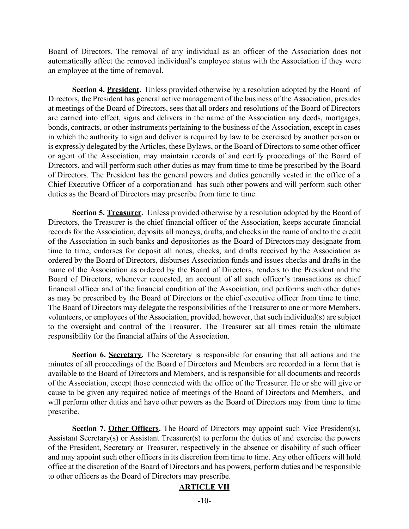Board of Directors. The removal of any individual as an officer of the Association does not automatically affect the removed individual's employee status with the Association if they were an employee at the time of removal.

**Section 4. President.** Unless provided otherwise by a resolution adopted by the Board of Directors, the President has general active management of the business of the Association, presides at meetings of the Board of Directors, sees that all orders and resolutions of the Board of Directors are carried into effect, signs and delivers in the name of the Association any deeds, mortgages, bonds, contracts, or other instruments pertaining to the business of the Association, except in cases in which the authority to sign and deliver is required by law to be exercised by another person or is expressly delegated by the Articles, these Bylaws, or the Board of Directors to some other officer or agent of the Association, may maintain records of and certify proceedings of the Board of Directors, and will perform such other duties as may from time to time be prescribed by the Board of Directors. The President has the general powers and duties generally vested in the office of a Chief Executive Officer of a corporationand has such other powers and will perform such other duties as the Board of Directors may prescribe from time to time.

**Section 5. Treasurer.** Unless provided otherwise by a resolution adopted by the Board of Directors, the Treasurer is the chief financial officer of the Association, keeps accurate financial records for the Association, deposits all moneys, drafts, and checks in the name of and to the credit of the Association in such banks and depositories as the Board of Directorsmay designate from time to time, endorses for deposit all notes, checks, and drafts received by the Association as ordered by the Board of Directors, disburses Association funds and issues checks and drafts in the name of the Association as ordered by the Board of Directors, renders to the President and the Board of Directors, whenever requested, an account of all such officer's transactions as chief financial officer and of the financial condition of the Association, and performs such other duties as may be prescribed by the Board of Directors or the chief executive officer from time to time. The Board of Directors may delegate the responsibilities of the Treasurer to one or more Members, volunteers, or employees of the Association, provided, however, that such individual(s) are subject to the oversight and control of the Treasurer. The Treasurer sat all times retain the ultimate responsibility for the financial affairs of the Association.

Section 6. Secretary. The Secretary is responsible for ensuring that all actions and the minutes of all proceedings of the Board of Directors and Members are recorded in a form that is available to the Board of Directors and Members, and is responsible for all documents and records of the Association, except those connected with the office of the Treasurer. He or she will give or cause to be given any required notice of meetings of the Board of Directors and Members, and will perform other duties and have other powers as the Board of Directors may from time to time prescribe.

<span id="page-13-0"></span>**Section 7. Other Officers.** The Board of Directors may appoint such Vice President(s), Assistant Secretary(s) or Assistant Treasurer(s) to perform the duties of and exercise the powers of the President, Secretary or Treasurer, respectively in the absence or disability of such officer and may appoint such other officers in its discretion from time to time. Any other officers will hold office at the discretion of the Board of Directors and has powers, perform duties and be responsible to other officers as the Board of Directors may prescribe.

# **ARTICLE VII**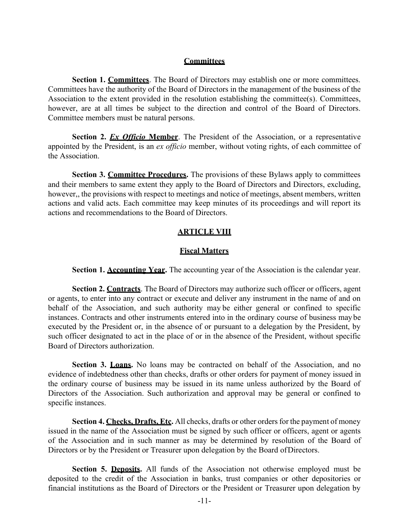# **Committees**

<span id="page-14-0"></span>**Section 1. Committees**. The Board of Directors may establish one or more committees. Committees have the authority of the Board of Directors in the management of the business of the Association to the extent provided in the resolution establishing the committee(s). Committees, however, are at all times be subject to the direction and control of the Board of Directors. Committee members must be natural persons.

**Section 2.** *Ex Officio* **Member**. The President of the Association, or a representative appointed by the President, is an *ex officio* member, without voting rights, of each committee of the Association.

**Section 3. Committee Procedures.** The provisions of these Bylaws apply to committees and their members to same extent they apply to the Board of Directors and Directors, excluding, however,, the provisions with respect to meetings and notice of meetings, absent members, written actions and valid acts. Each committee may keep minutes of its proceedings and will report its actions and recommendations to the Board of Directors.

### **ARTICLE VIII**

#### **Fiscal Matters**

**Section 1. Accounting Year.** The accounting year of the Association is the calendar year.

**Section 2. Contracts**. The Board of Directors may authorize such officer or officers, agent or agents, to enter into any contract or execute and deliver any instrument in the name of and on behalf of the Association, and such authority may be either general or confined to specific instances. Contracts and other instruments entered into in the ordinary course of business may be executed by the President or, in the absence of or pursuant to a delegation by the President, by such officer designated to act in the place of or in the absence of the President, without specific Board of Directors authorization.

**Section 3. Loans.** No loans may be contracted on behalf of the Association, and no evidence of indebtedness other than checks, drafts or other orders for payment of money issued in the ordinary course of business may be issued in its name unless authorized by the Board of Directors of the Association. Such authorization and approval may be general or confined to specific instances.

**Section 4. Checks, Drafts, Etc.** All checks, drafts or other orders for the payment of money issued in the name of the Association must be signed by such officer or officers, agent or agents of the Association and in such manner as may be determined by resolution of the Board of Directors or by the President or Treasurer upon delegation by the Board ofDirectors.

**Section 5. Deposits.** All funds of the Association not otherwise employed must be deposited to the credit of the Association in banks, trust companies or other depositories or financial institutions as the Board of Directors or the President or Treasurer upon delegation by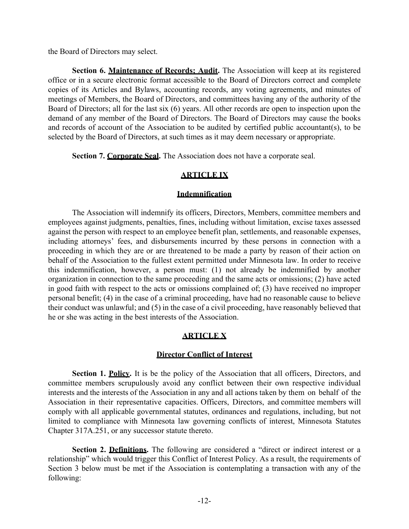the Board of Directors may select.

**Section 6. Maintenance of Records; Audit.** The Association will keep at its registered office or in a secure electronic format accessible to the Board of Directors correct and complete copies of its Articles and Bylaws, accounting records, any voting agreements, and minutes of meetings of Members, the Board of Directors, and committees having any of the authority of the Board of Directors; all for the last six (6) years. All other records are open to inspection upon the demand of any member of the Board of Directors. The Board of Directors may cause the books and records of account of the Association to be audited by certified public accountant(s), to be selected by the Board of Directors, at such times as it may deem necessary or appropriate.

**Section 7. Corporate Seal.** The Association does not have a corporate seal.

# **ARTICLE IX**

### **Indemnification**

The Association will indemnify its officers, Directors, Members, committee members and employees against judgments, penalties, fines, including without limitation, excise taxes assessed against the person with respect to an employee benefit plan, settlements, and reasonable expenses, including attorneys' fees, and disbursements incurred by these persons in connection with a proceeding in which they are or are threatened to be made a party by reason of their action on behalf of the Association to the fullest extent permitted under Minnesota law. In order to receive this indemnification, however, a person must: (1) not already be indemnified by another organization in connection to the same proceeding and the same acts or omissions; (2) have acted in good faith with respect to the acts or omissions complained of; (3) have received no improper personal benefit; (4) in the case of a criminal proceeding, have had no reasonable cause to believe their conduct was unlawful; and (5) in the case of a civil proceeding, have reasonably believed that he or she was acting in the best interests of the Association.

# **ARTICLE X**

# **Director Conflict of Interest**

<span id="page-15-0"></span>**Section 1. Policy.** It is be the policy of the Association that all officers, Directors, and committee members scrupulously avoid any conflict between their own respective individual interests and the interests of the Association in any and all actions taken by them on behalf of the Association in their representative capacities. Officers, Directors, and committee members will comply with all applicable governmental statutes, ordinances and regulations, including, but not limited to compliance with Minnesota law governing conflicts of interest, Minnesota Statutes Chapter 317A.251, or any successor statute thereto.

Section 2. Definitions. The following are considered a "direct or indirect interest or a relationship" which would trigger this Conflict of Interest Policy. As a result, the requirements of Section 3 below must be met if the Association is contemplating a transaction with any of the following: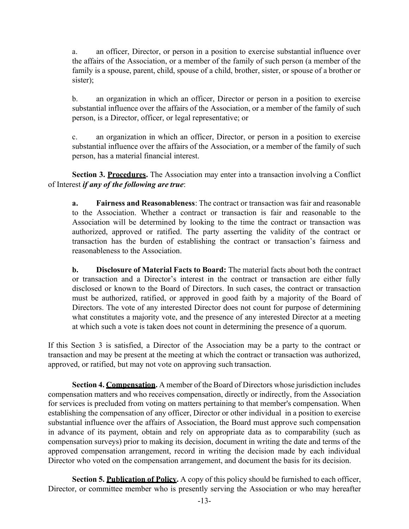a. an officer, Director, or person in a position to exercise substantial influence over the affairs of the Association, or a member of the family of such person (a member of the family is a spouse, parent, child, spouse of a child, brother, sister, or spouse of a brother or sister);

b. an organization in which an officer, Director or person in a position to exercise substantial influence over the affairs of the Association, or a member of the family of such person, is a Director, officer, or legal representative; or

c. an organization in which an officer, Director, or person in a position to exercise substantial influence over the affairs of the Association, or a member of the family of such person, has a material financial interest.

**Section 3. Procedures.** The Association may enter into a transaction involving a Conflict of Interest *if any of the following are true*:

**a. Fairness and Reasonableness**: The contract or transaction was fair and reasonable to the Association. Whether a contract or transaction is fair and reasonable to the Association will be determined by looking to the time the contract or transaction was authorized, approved or ratified. The party asserting the validity of the contract or transaction has the burden of establishing the contract or transaction's fairness and reasonableness to the Association.

**b. Disclosure of Material Facts to Board:** The material facts about both the contract or transaction and a Director's interest in the contract or transaction are either fully disclosed or known to the Board of Directors. In such cases, the contract or transaction must be authorized, ratified, or approved in good faith by a majority of the Board of Directors. The vote of any interested Director does not count for purpose of determining what constitutes a majority vote, and the presence of any interested Director at a meeting at which such a vote is taken does not count in determining the presence of a quorum.

If this Section 3 is satisfied, a Director of the Association may be a party to the contract or transaction and may be present at the meeting at which the contract or transaction was authorized, approved, or ratified, but may not vote on approving such transaction.

**Section 4. Compensation.** A member of the Board of Directors whose jurisdiction includes compensation matters and who receives compensation, directly or indirectly, from the Association for services is precluded from voting on matters pertaining to that member's compensation. When establishing the compensation of any officer, Director or other individual in a position to exercise substantial influence over the affairs of Association, the Board must approve such compensation in advance of its payment, obtain and rely on appropriate data as to comparability (such as compensation surveys) prior to making its decision, document in writing the date and terms of the approved compensation arrangement, record in writing the decision made by each individual Director who voted on the compensation arrangement, and document the basis for its decision.

**Section 5. Publication of Policy.** A copy of this policy should be furnished to each officer, Director, or committee member who is presently serving the Association or who may hereafter